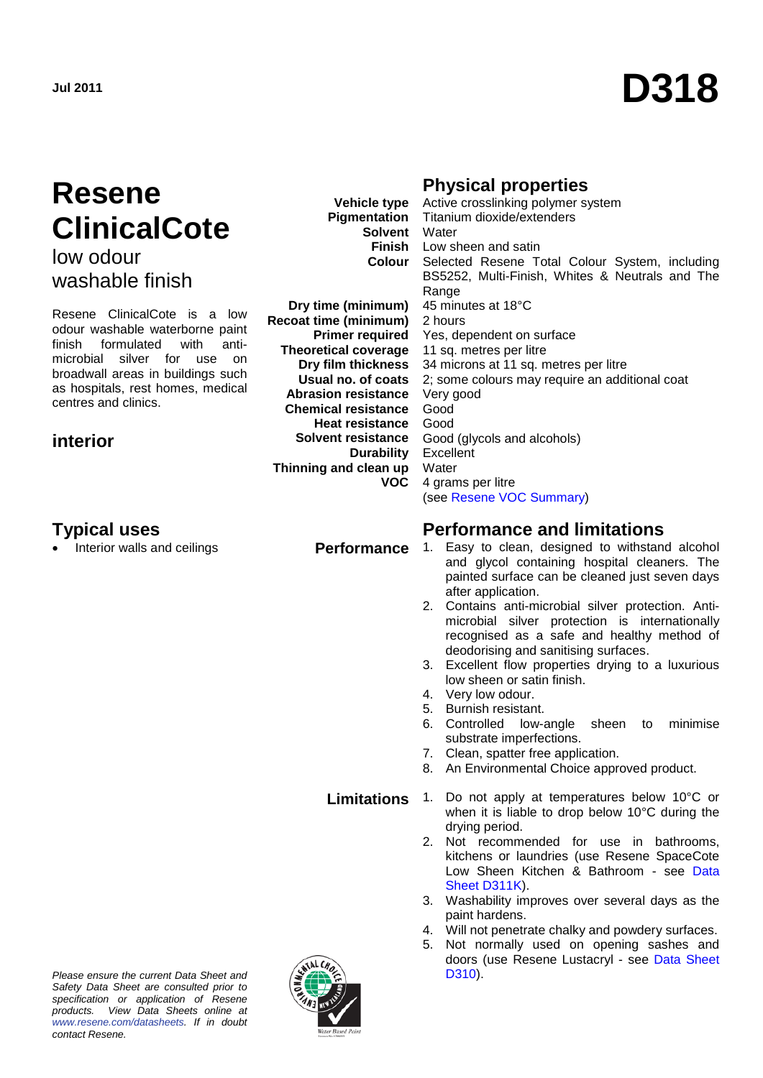# **Resene ClinicalCote**

low odour washable finish

Resene ClinicalCote is a low odour washable waterborne paint finish formulated with antimicrobial silver for use on broadwall areas in buildings such as hospitals, rest homes, medical centres and clinics.

# **interior**

**Vehicle type Pigmentation Solvent** Water

**Dry time (minimum) Recoat time (minimum) Primer required Theoretical coverage Dry film thickness Usual no. of coats Abrasion resistance Chemical resistance Heat resistance Solvent resistance Durability Thinning and clean up VOC**

**Finish** Low sheen and satin **Colour** Selected Resene Total Colour System, including BS5252, Multi-Finish, Whites & Neutrals and The **Range** 45 minutes at 18°C 2 hours Yes, dependent on surface 11 sq. metres per litre 34 microns at 11 sq. metres per litre 2; some colours may require an additional coat Very good Good Good Good (glycols and alcohols) Excellent **Water** 4 grams per litre (see [Resene VOC Summary\)](http://www.resene.co.nz/archspec/datashts/vocsummary.pdf)

# **Typical uses**<br> **Performance and limitations**<br> **Performance** 1. Easy to clean, designed to withstan<br> **Performance** 1. Easy to clean, designed to withstan

- Performance 1. Easy to clean, designed to withstand alcohol and glycol containing hospital cleaners. The painted surface can be cleaned just seven days after application.
	- 2. Contains anti-microbial silver protection. Antimicrobial silver protection is internationally recognised as a safe and healthy method of deodorising and sanitising surfaces.
	- 3. Excellent flow properties drying to a luxurious low sheen or satin finish.
	- 4. Very low odour.

drying period.

[Sheet D311K\)](http://www.resene.co.nz/archspec/datashts/d311K_Spacecote_Low_Sheen_K.pdf).

paint hardens.

[D310\)](http://www.resene.co.nz/archspec/datashts/d310_Lustacryl_WB_Enamel.pdf).

- 5. Burnish resistant. 6. Controlled low-angle sheen to minimise
- substrate imperfections.
- 7. Clean, spatter free application.
- 8. An Environmental Choice approved product.

when it is liable to drop below 10°C during the

2. Not recommended for use in bathrooms, kitchens or laundries (use Resene SpaceCote Low Sheen Kitchen & Bathroom - see Data

3. Washability improves over several days as the

4. Will not penetrate chalky and powdery surfaces. 5. Not normally used on opening sashes and doors (use Resene Lustacryl - see [Data Sheet](http://www.resene.co.nz/archspec/datashts/d310_Lustacryl_WB_Enamel.pdf) 

**Limitations** 1. Do not apply at temperatures below 10°C or

*Please ensure the current Data Sheet and Safety Data Sheet are consulted prior to specification or application of Resene products. View Data Sheets online at [www.resene.com/datasheets.](http://www.resene.com/datasheets) If in doubt contact Resene.*



#### **Physical properties**  Active crosslinking polymer system Titanium dioxide/extenders